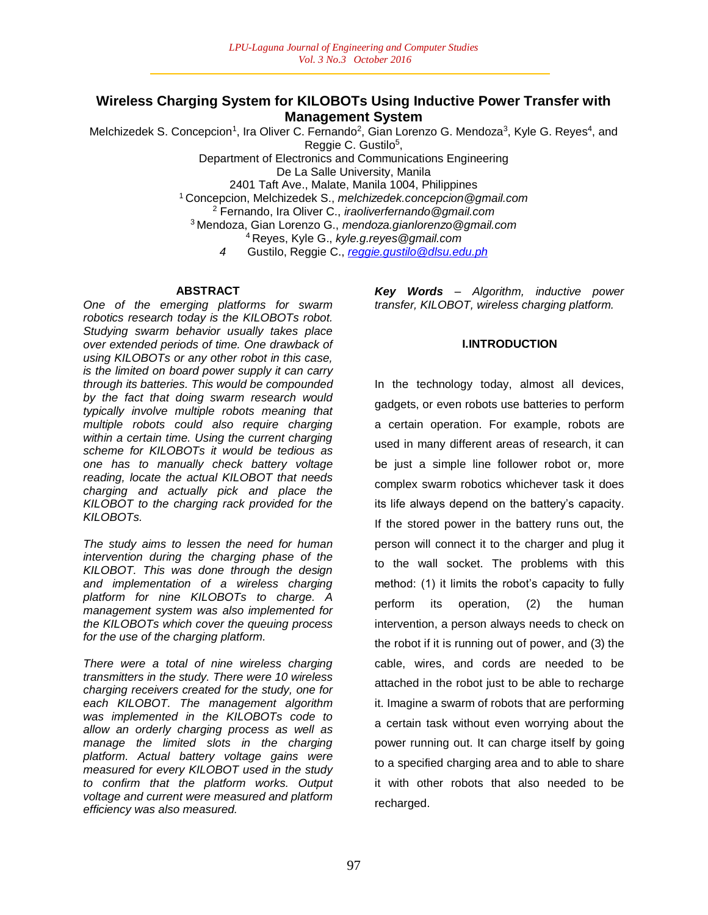## **Wireless Charging System for KILOBOTs Using Inductive Power Transfer with Management System**

Melchizedek S. Concepcion<sup>1</sup>, Ira Oliver C. Fernando<sup>2</sup>, Gian Lorenzo G. Mendoza<sup>3</sup>, Kyle G. Reyes<sup>4</sup>, and Reggie C. Gustilo<sup>5</sup>,

Department of Electronics and Communications Engineering De La Salle University, Manila 2401 Taft Ave., Malate, Manila 1004, Philippines <sup>1</sup>Concepcion, Melchizedek S., *melchizedek.concepcion@gmail.com* <sup>2</sup> Fernando, Ira Oliver C., *iraoliverfernando@gmail.com* <sup>3</sup>Mendoza, Gian Lorenzo G., *mendoza.gianlorenzo@gmail.com* <sup>4</sup>Reyes, Kyle G., *kyle.g.reyes@gmail.com*

*4* Gustilo, Reggie C., *reggie.gustilo@dlsu.edu.ph*

#### **ABSTRACT**

*One of the emerging platforms for swarm robotics research today is the KILOBOTs robot. Studying swarm behavior usually takes place over extended periods of time. One drawback of using KILOBOTs or any other robot in this case, is the limited on board power supply it can carry through its batteries. This would be compounded by the fact that doing swarm research would typically involve multiple robots meaning that multiple robots could also require charging within a certain time. Using the current charging scheme for KILOBOTs it would be tedious as one has to manually check battery voltage reading, locate the actual KILOBOT that needs charging and actually pick and place the KILOBOT to the charging rack provided for the KILOBOTs.*

*The study aims to lessen the need for human intervention during the charging phase of the KILOBOT. This was done through the design and implementation of a wireless charging platform for nine KILOBOTs to charge. A management system was also implemented for the KILOBOTs which cover the queuing process for the use of the charging platform.*

*There were a total of nine wireless charging transmitters in the study. There were 10 wireless charging receivers created for the study, one for each KILOBOT. The management algorithm was implemented in the KILOBOTs code to allow an orderly charging process as well as manage the limited slots in the charging platform. Actual battery voltage gains were measured for every KILOBOT used in the study to confirm that the platform works. Output voltage and current were measured and platform efficiency was also measured.*

*Key Words – Algorithm, inductive power transfer, KILOBOT, wireless charging platform.* 

## **I.INTRODUCTION**

In the technology today, almost all devices, gadgets, or even robots use batteries to perform a certain operation. For example, robots are used in many different areas of research, it can be just a simple line follower robot or, more complex swarm robotics whichever task it does its life always depend on the battery's capacity. If the stored power in the battery runs out, the person will connect it to the charger and plug it to the wall socket. The problems with this method: (1) it limits the robot's capacity to fully perform its operation, (2) the human intervention, a person always needs to check on the robot if it is running out of power, and (3) the cable, wires, and cords are needed to be attached in the robot just to be able to recharge it. Imagine a swarm of robots that are performing a certain task without even worrying about the power running out. It can charge itself by going to a specified charging area and to able to share it with other robots that also needed to be recharged.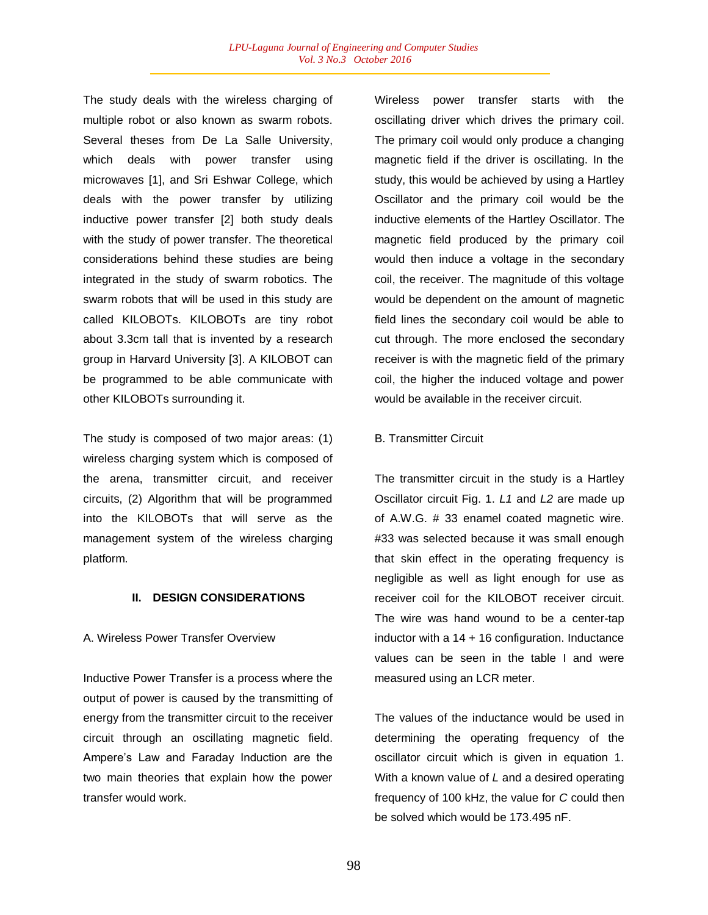The study deals with the wireless charging of multiple robot or also known as swarm robots. Several theses from De La Salle University, which deals with power transfer using microwaves [1], and Sri Eshwar College, which deals with the power transfer by utilizing inductive power transfer [2] both study deals with the study of power transfer. The theoretical considerations behind these studies are being integrated in the study of swarm robotics. The swarm robots that will be used in this study are called KILOBOTs. KILOBOTs are tiny robot about 3.3cm tall that is invented by a research group in Harvard University [3]. A KILOBOT can be programmed to be able communicate with other KILOBOTs surrounding it.

The study is composed of two major areas: (1) wireless charging system which is composed of the arena, transmitter circuit, and receiver circuits, (2) Algorithm that will be programmed into the KILOBOTs that will serve as the management system of the wireless charging platform.

### **II. DESIGN CONSIDERATIONS**

#### A. Wireless Power Transfer Overview

Inductive Power Transfer is a process where the output of power is caused by the transmitting of energy from the transmitter circuit to the receiver circuit through an oscillating magnetic field. Ampere's Law and Faraday Induction are the two main theories that explain how the power transfer would work.

Wireless power transfer starts with the oscillating driver which drives the primary coil. The primary coil would only produce a changing magnetic field if the driver is oscillating. In the study, this would be achieved by using a Hartley Oscillator and the primary coil would be the inductive elements of the Hartley Oscillator. The magnetic field produced by the primary coil would then induce a voltage in the secondary coil, the receiver. The magnitude of this voltage would be dependent on the amount of magnetic field lines the secondary coil would be able to cut through. The more enclosed the secondary receiver is with the magnetic field of the primary coil, the higher the induced voltage and power would be available in the receiver circuit.

#### B. Transmitter Circuit

The transmitter circuit in the study is a Hartley Oscillator circuit Fig. 1. *L1* and *L2* are made up of A.W.G. # 33 enamel coated magnetic wire. #33 was selected because it was small enough that skin effect in the operating frequency is negligible as well as light enough for use as receiver coil for the KILOBOT receiver circuit. The wire was hand wound to be a center-tap inductor with a  $14 + 16$  configuration. Inductance values can be seen in the table I and were measured using an LCR meter.

The values of the inductance would be used in determining the operating frequency of the oscillator circuit which is given in equation 1. With a known value of *L* and a desired operating frequency of 100 kHz, the value for *C* could then be solved which would be 173.495 nF.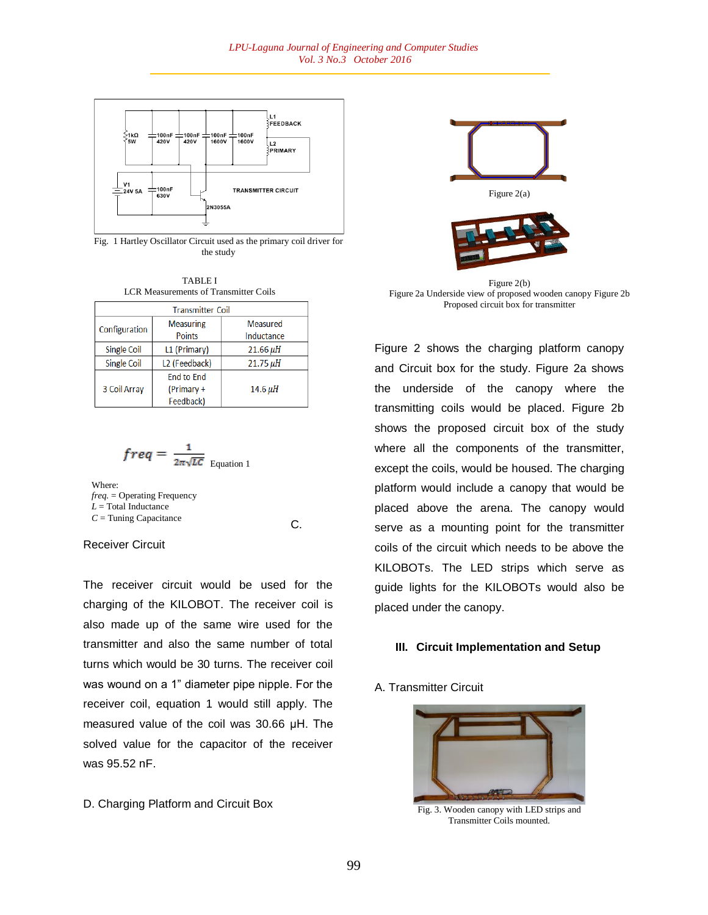

Fig. 1 Hartley Oscillator Circuit used as the primary coil driver for the study



| <b>Transmitter Coil</b> |                                              |                               |  |  |  |  |
|-------------------------|----------------------------------------------|-------------------------------|--|--|--|--|
| Configuration           | <b>Measuring</b><br><b>Points</b>            | <b>Measured</b><br>Inductance |  |  |  |  |
| <b>Single Coil</b>      | L1 (Primary)                                 | $21.66 \mu H$                 |  |  |  |  |
| <b>Single Coil</b>      | L <sub>2</sub> (Feedback)                    | $21.75 \mu H$                 |  |  |  |  |
| 3 Coil Array            | <b>End to End</b><br>(Primary +<br>Feedback) | $14.6 \mu H$                  |  |  |  |  |

$$
freq = \frac{1}{2\pi\sqrt{LC}}_{\text{Equation 1}}
$$

Where: *freq.* = Operating Frequency *L* = Total Inductance *C* = Tuning Capacitance

C.

#### Receiver Circuit

The receiver circuit would be used for the charging of the KILOBOT. The receiver coil is also made up of the same wire used for the transmitter and also the same number of total turns which would be 30 turns. The receiver coil was wound on a 1" diameter pipe nipple. For the receiver coil, equation 1 would still apply. The measured value of the coil was 30.66 μH. The solved value for the capacitor of the receiver was 95.52 nF.

D. Charging Platform and Circuit Box



Figure 2(b) Figure 2a Underside view of proposed wooden canopy Figure 2b Proposed circuit box for transmitter

Figure 2 shows the charging platform canopy and Circuit box for the study. Figure 2a shows the underside of the canopy where the transmitting coils would be placed. Figure 2b shows the proposed circuit box of the study where all the components of the transmitter, except the coils, would be housed. The charging platform would include a canopy that would be placed above the arena. The canopy would serve as a mounting point for the transmitter coils of the circuit which needs to be above the KILOBOTs. The LED strips which serve as guide lights for the KILOBOTs would also be placed under the canopy.

### **III. Circuit Implementation and Setup**

### A. Transmitter Circuit



Fig. 3. Wooden canopy with LED strips and Transmitter Coils mounted.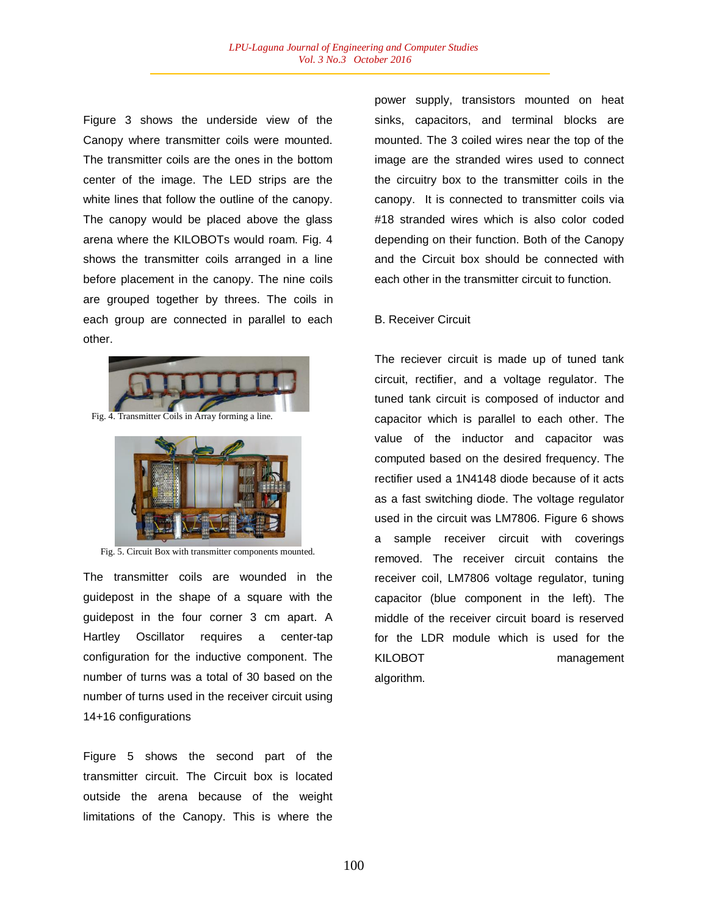Figure 3 shows the underside view of the Canopy where transmitter coils were mounted. The transmitter coils are the ones in the bottom center of the image. The LED strips are the white lines that follow the outline of the canopy. The canopy would be placed above the glass arena where the KILOBOTs would roam. Fig. 4 shows the transmitter coils arranged in a line before placement in the canopy. The nine coils are grouped together by threes. The coils in each group are connected in parallel to each other.





Fig. 5. Circuit Box with transmitter components mounted.

The transmitter coils are wounded in the guidepost in the shape of a square with the guidepost in the four corner 3 cm apart. A Hartley Oscillator requires a center-tap configuration for the inductive component. The number of turns was a total of 30 based on the number of turns used in the receiver circuit using 14+16 configurations

Figure 5 shows the second part of the transmitter circuit. The Circuit box is located outside the arena because of the weight limitations of the Canopy. This is where the

power supply, transistors mounted on heat sinks, capacitors, and terminal blocks are mounted. The 3 coiled wires near the top of the image are the stranded wires used to connect the circuitry box to the transmitter coils in the canopy. It is connected to transmitter coils via #18 stranded wires which is also color coded depending on their function. Both of the Canopy and the Circuit box should be connected with each other in the transmitter circuit to function.

#### B. Receiver Circuit

The reciever circuit is made up of tuned tank circuit, rectifier, and a voltage regulator. The tuned tank circuit is composed of inductor and capacitor which is parallel to each other. The value of the inductor and capacitor was computed based on the desired frequency. The rectifier used a 1N4148 diode because of it acts as a fast switching diode. The voltage regulator used in the circuit was LM7806. Figure 6 shows a sample receiver circuit with coverings removed. The receiver circuit contains the receiver coil, LM7806 voltage regulator, tuning capacitor (blue component in the left). The middle of the receiver circuit board is reserved for the LDR module which is used for the KILOBOT management algorithm.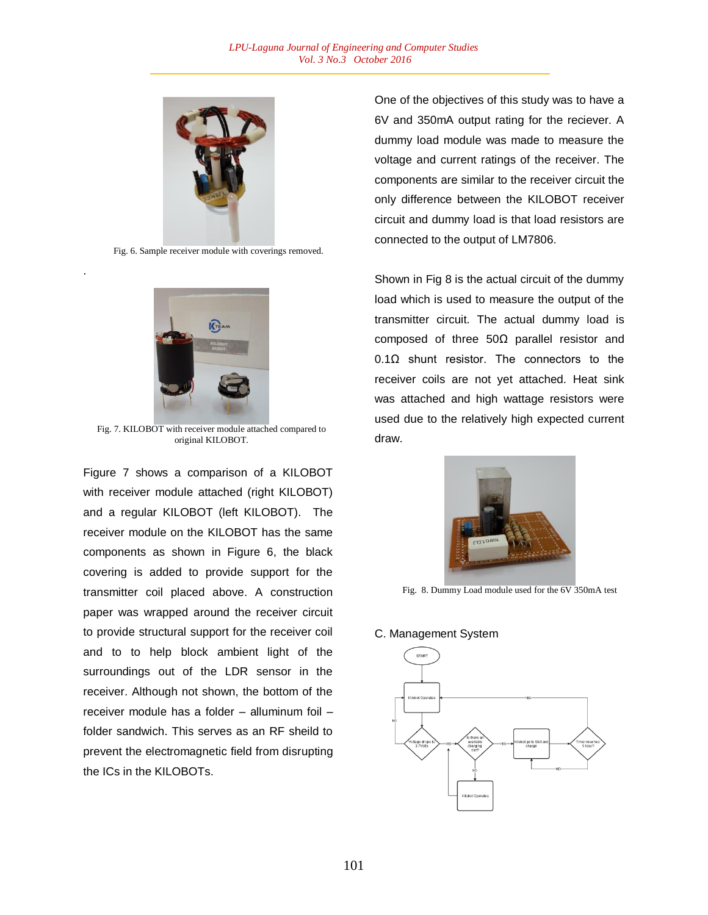

Fig. 6. Sample receiver module with coverings removed.

.



Fig. 7. KILOBOT with receiver module attached compared to original KILOBOT.

Figure 7 shows a comparison of a KILOBOT with receiver module attached (right KILOBOT) and a regular KILOBOT (left KILOBOT). The receiver module on the KILOBOT has the same components as shown in Figure 6, the black covering is added to provide support for the transmitter coil placed above. A construction paper was wrapped around the receiver circuit to provide structural support for the receiver coil and to to help block ambient light of the surroundings out of the LDR sensor in the receiver. Although not shown, the bottom of the receiver module has a folder – alluminum foil – folder sandwich. This serves as an RF sheild to prevent the electromagnetic field from disrupting the ICs in the KILOBOTs.

One of the objectives of this study was to have a 6V and 350mA output rating for the reciever. A dummy load module was made to measure the voltage and current ratings of the receiver. The components are similar to the receiver circuit the only difference between the KILOBOT receiver circuit and dummy load is that load resistors are connected to the output of LM7806.

Shown in Fig 8 is the actual circuit of the dummy load which is used to measure the output of the transmitter circuit. The actual dummy load is composed of three 50Ω parallel resistor and 0.1Ω shunt resistor. The connectors to the receiver coils are not yet attached. Heat sink was attached and high wattage resistors were used due to the relatively high expected current draw.



Fig. 8. Dummy Load module used for the 6V 350mA test

#### C. Management System

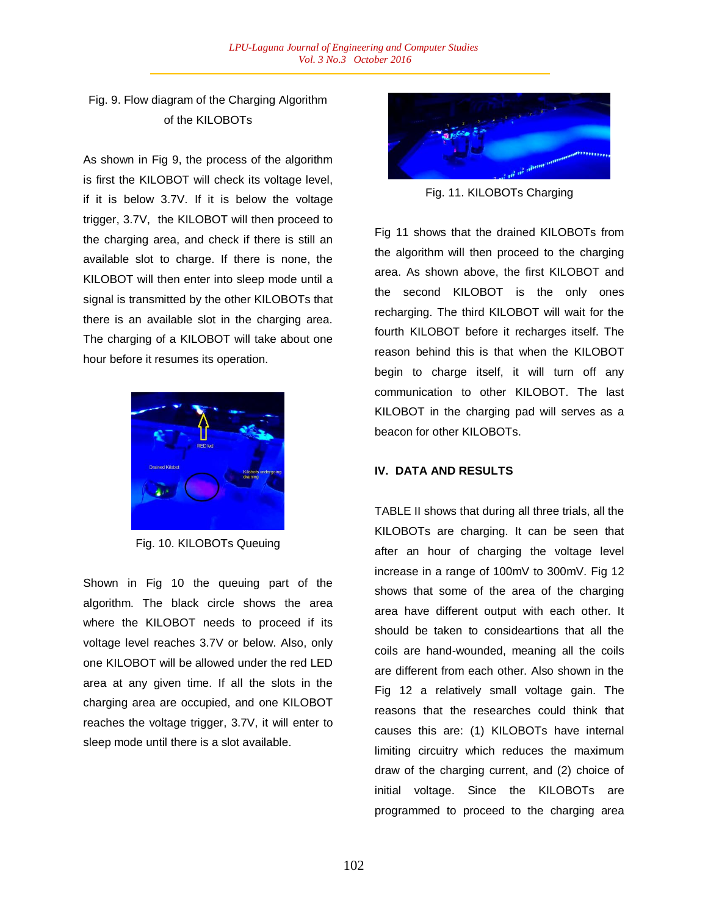# Fig. 9. Flow diagram of the Charging Algorithm of the KILOBOTs

As shown in Fig 9, the process of the algorithm is first the KILOBOT will check its voltage level, if it is below 3.7V. If it is below the voltage trigger, 3.7V, the KILOBOT will then proceed to the charging area, and check if there is still an available slot to charge. If there is none, the KILOBOT will then enter into sleep mode until a signal is transmitted by the other KILOBOTs that there is an available slot in the charging area. The charging of a KILOBOT will take about one hour before it resumes its operation.



Fig. 10. KILOBOTs Queuing

Shown in Fig 10 the queuing part of the algorithm. The black circle shows the area where the KILOBOT needs to proceed if its voltage level reaches 3.7V or below. Also, only one KILOBOT will be allowed under the red LED area at any given time. If all the slots in the charging area are occupied, and one KILOBOT reaches the voltage trigger, 3.7V, it will enter to sleep mode until there is a slot available.



Fig. 11. KILOBOTs Charging

Fig 11 shows that the drained KILOBOTs from the algorithm will then proceed to the charging area. As shown above, the first KILOBOT and the second KILOBOT is the only ones recharging. The third KILOBOT will wait for the fourth KILOBOT before it recharges itself. The reason behind this is that when the KILOBOT begin to charge itself, it will turn off any communication to other KILOBOT. The last KILOBOT in the charging pad will serves as a beacon for other KILOBOTs.

## **IV. DATA AND RESULTS**

TABLE II shows that during all three trials, all the KILOBOTs are charging. It can be seen that after an hour of charging the voltage level increase in a range of 100mV to 300mV. Fig 12 shows that some of the area of the charging area have different output with each other. It should be taken to consideartions that all the coils are hand-wounded, meaning all the coils are different from each other. Also shown in the Fig 12 a relatively small voltage gain. The reasons that the researches could think that causes this are: (1) KILOBOTs have internal limiting circuitry which reduces the maximum draw of the charging current, and (2) choice of initial voltage. Since the KILOBOTs are programmed to proceed to the charging area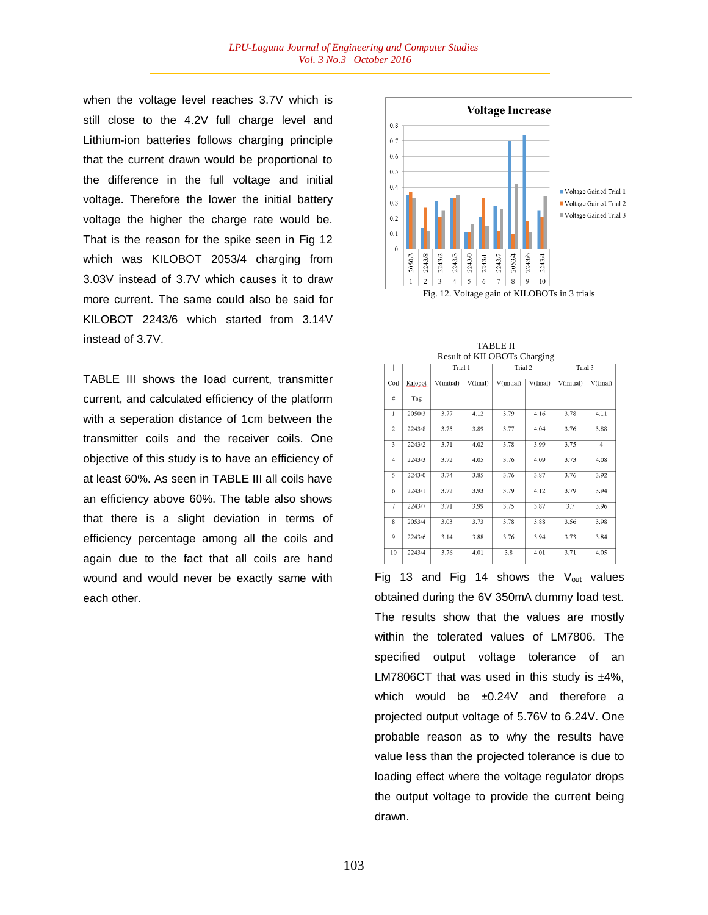when the voltage level reaches 3.7V which is still close to the 4.2V full charge level and Lithium-ion batteries follows charging principle that the current drawn would be proportional to the difference in the full voltage and initial voltage. Therefore the lower the initial battery voltage the higher the charge rate would be. That is the reason for the spike seen in Fig 12 which was KILOBOT 2053/4 charging from 3.03V instead of 3.7V which causes it to draw more current. The same could also be said for KILOBOT 2243/6 which started from 3.14V instead of 3.7V.

TABLE III shows the load current, transmitter current, and calculated efficiency of the platform with a seperation distance of 1cm between the transmitter coils and the receiver coils. One objective of this study is to have an efficiency of at least 60%. As seen in TABLE III all coils have an efficiency above 60%. The table also shows that there is a slight deviation in terms of efficiency percentage among all the coils and again due to the fact that all coils are hand wound and would never be exactly same with each other.



| Result of KILOBOTs Charging |         |            |          |            |          |            |                |
|-----------------------------|---------|------------|----------|------------|----------|------------|----------------|
|                             |         | Trial 1    |          | Trial 2    |          | Trial 3    |                |
| Coil                        | Kilobot | V(initial) | V(final) | V(initial) | V(final) | V(initial) | V(final)       |
| #                           | Tag     |            |          |            |          |            |                |
| $\mathbf{1}$                | 2050/3  | 3.77       | 4.12     | 3.79       | 4.16     | 3.78       | 4.11           |
| $\overline{c}$              | 2243/8  | 3.75       | 3.89     | 3.77       | 4.04     | 3.76       | 3.88           |
| 3                           | 2243/2  | 3.71       | 4.02     | 3.78       | 3.99     | 3.75       | $\overline{4}$ |
| $\overline{4}$              | 2243/3  | 3.72       | 4.05     | 3.76       | 4.09     | 3.73       | 4.08           |
| 5                           | 2243/0  | 3.74       | 3.85     | 3.76       | 3.87     | 3.76       | 3.92           |
| 6                           | 2243/1  | 3.72       | 3.93     | 3.79       | 4.12     | 3.79       | 3.94           |
| $\overline{7}$              | 2243/7  | 3.71       | 3.99     | 3.75       | 3.87     | 3.7        | 3.96           |
| 8                           | 2053/4  | 3.03       | 3.73     | 3.78       | 3.88     | 3.56       | 3.98           |
| 9                           | 2243/6  | 3.14       | 3.88     | 3.76       | 3.94     | 3.73       | 3.84           |
| 10                          | 2243/4  | 3.76       | 4.01     | 3.8        | 4.01     | 3.71       | 4.05           |

TABLE II

Fig 13 and Fig 14 shows the V<sub>out</sub> values obtained during the 6V 350mA dummy load test. The results show that the values are mostly within the tolerated values of LM7806. The specified output voltage tolerance of an LM7806CT that was used in this study is  $\pm 4\%$ , which would be  $\pm 0.24$ V and therefore a projected output voltage of 5.76V to 6.24V. One probable reason as to why the results have value less than the projected tolerance is due to loading effect where the voltage regulator drops the output voltage to provide the current being drawn.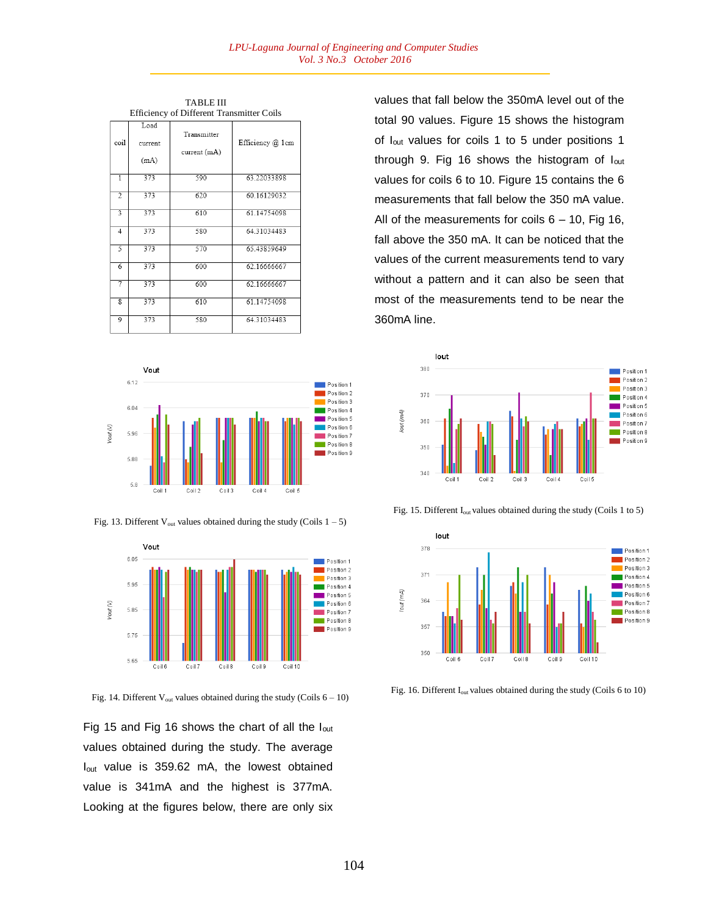TABLE III Efficiency of Different Transmitter Coils

| Emergicy of Different Transmitter Cons |                         |                             |                  |  |  |
|----------------------------------------|-------------------------|-----------------------------|------------------|--|--|
| coil                                   | Load<br>current<br>(mA) | Transmitter<br>current (mA) | Efficiency @ 1cm |  |  |
| $\overline{1}$                         | 373                     | 590                         | 63.22033898      |  |  |
| $\overline{2}$                         | 373                     | 620                         | 60.16129032      |  |  |
| 3                                      | 373                     | 610                         | 61.14754098      |  |  |
| 4                                      | 373                     | 580                         | 64.31034483      |  |  |
| 5                                      | 373                     | 570                         | 65.43859649      |  |  |
| $\overline{6}$                         | 373                     | 600                         | 62.16666667      |  |  |
| 7                                      | 373                     | 600                         | 62.16666667      |  |  |
| $\overline{\mathbf{8}}$                | 373                     | 610                         | 61.14754098      |  |  |
| 9                                      | 373                     | 580                         | 64.31034483      |  |  |



Fig. 13. Different  $V_{\text{out}}$  values obtained during the study (Coils  $1 - 5$ )



Fig. 14. Different  $V_{\text{out}}$  values obtained during the study (Coils  $6 - 10$ )

Fig 15 and Fig 16 shows the chart of all the Iout values obtained during the study. The average Iout value is 359.62 mA, the lowest obtained value is 341mA and the highest is 377mA. Looking at the figures below, there are only six

values that fall below the 350mA level out of the total 90 values. Figure 15 shows the histogram of Iout values for coils 1 to 5 under positions 1 through 9. Fig 16 shows the histogram of lout values for coils 6 to 10. Figure 15 contains the 6 measurements that fall below the 350 mA value. All of the measurements for coils  $6 - 10$ , Fig 16, fall above the 350 mA. It can be noticed that the values of the current measurements tend to vary without a pattern and it can also be seen that most of the measurements tend to be near the 360mA line.



Fig. 15. Different Iout values obtained during the study (Coils 1 to 5)



Fig. 16. Different I<sub>out</sub> values obtained during the study (Coils 6 to 10)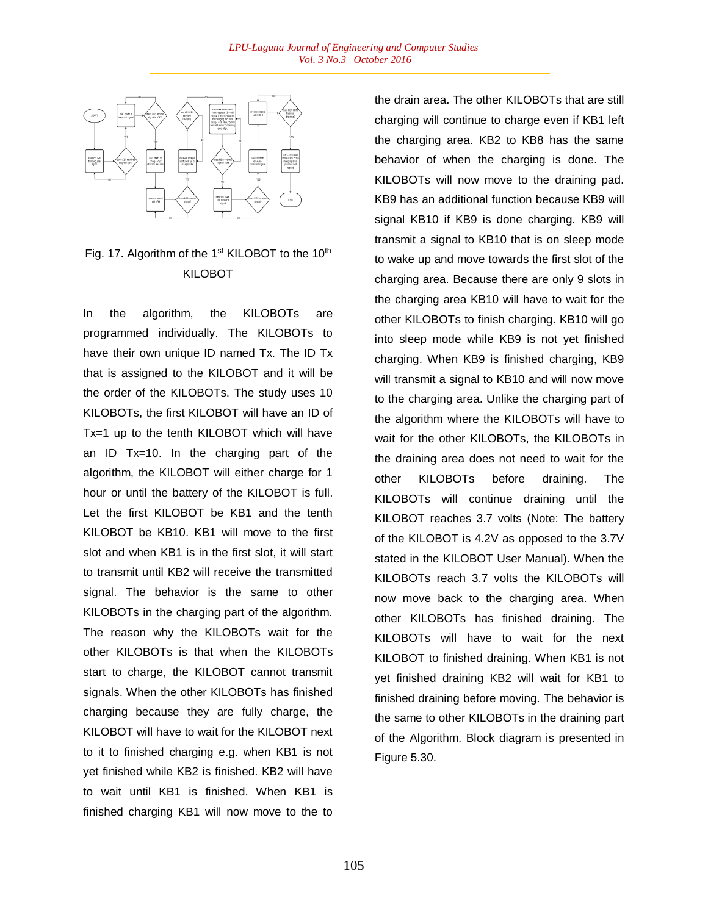

# Fig. 17. Algorithm of the 1<sup>st</sup> KILOBOT to the 10<sup>th</sup> KILOBOT

In the algorithm, the KILOBOTs are programmed individually. The KILOBOTs to have their own unique ID named Tx. The ID Tx that is assigned to the KILOBOT and it will be the order of the KILOBOTs. The study uses 10 KILOBOTs, the first KILOBOT will have an ID of Tx=1 up to the tenth KILOBOT which will have an ID Tx=10. In the charging part of the algorithm, the KILOBOT will either charge for 1 hour or until the battery of the KILOBOT is full. Let the first KILOBOT be KB1 and the tenth KILOBOT be KB10. KB1 will move to the first slot and when KB1 is in the first slot, it will start to transmit until KB2 will receive the transmitted signal. The behavior is the same to other KILOBOTs in the charging part of the algorithm. The reason why the KILOBOTs wait for the other KILOBOTs is that when the KILOBOTs start to charge, the KILOBOT cannot transmit signals. When the other KILOBOTs has finished charging because they are fully charge, the KILOBOT will have to wait for the KILOBOT next to it to finished charging e.g. when KB1 is not yet finished while KB2 is finished. KB2 will have to wait until KB1 is finished. When KB1 is finished charging KB1 will now move to the to

the drain area. The other KILOBOTs that are still charging will continue to charge even if KB1 left the charging area. KB2 to KB8 has the same behavior of when the charging is done. The KILOBOTs will now move to the draining pad. KB9 has an additional function because KB9 will signal KB10 if KB9 is done charging. KB9 will transmit a signal to KB10 that is on sleep mode to wake up and move towards the first slot of the charging area. Because there are only 9 slots in the charging area KB10 will have to wait for the other KILOBOTs to finish charging. KB10 will go into sleep mode while KB9 is not yet finished charging. When KB9 is finished charging, KB9 will transmit a signal to KB10 and will now move to the charging area. Unlike the charging part of the algorithm where the KILOBOTs will have to wait for the other KILOBOTs, the KILOBOTs in the draining area does not need to wait for the other KILOBOTs before draining. The KILOBOTs will continue draining until the KILOBOT reaches 3.7 volts (Note: The battery of the KILOBOT is 4.2V as opposed to the 3.7V stated in the KILOBOT User Manual). When the KILOBOTs reach 3.7 volts the KILOBOTs will now move back to the charging area. When other KILOBOTs has finished draining. The KILOBOTs will have to wait for the next KILOBOT to finished draining. When KB1 is not yet finished draining KB2 will wait for KB1 to finished draining before moving. The behavior is the same to other KILOBOTs in the draining part of the Algorithm. Block diagram is presented in Figure 5.30.